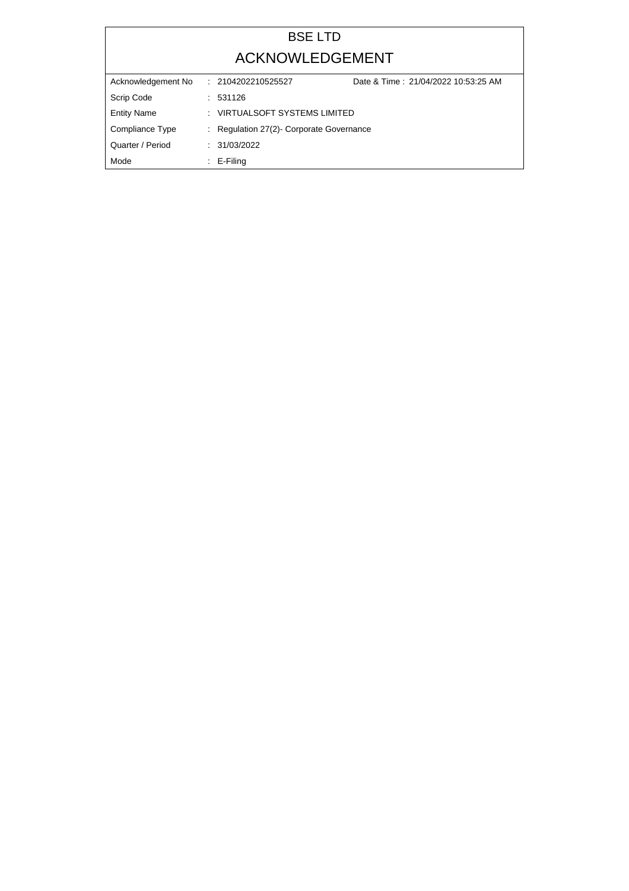## BSE LTD ACKNOWLEDGEMENT

| Acknowledgement No | Date & Time: 21/04/2022 10:53:25 AM<br>: 2104202210525527 |  |
|--------------------|-----------------------------------------------------------|--|
| Scrip Code         | : 531126                                                  |  |
| <b>Entity Name</b> | : VIRTUALSOFT SYSTEMS LIMITED                             |  |
| Compliance Type    | : Regulation 27(2) Corporate Governance                   |  |
| Quarter / Period   | : 31/03/2022                                              |  |
| Mode               | $\therefore$ E-Filing                                     |  |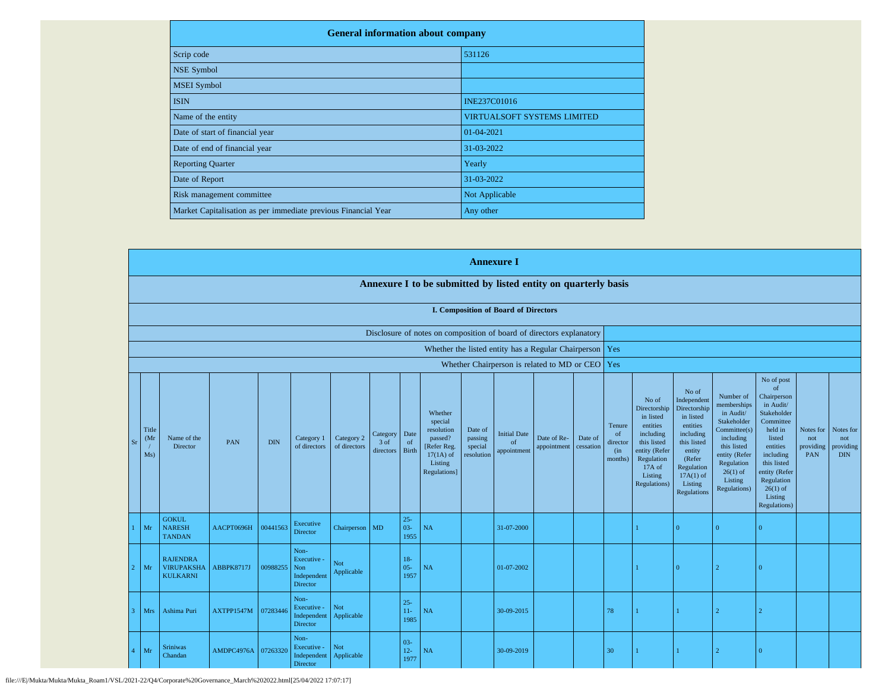| <b>General information about company</b>                       |                                    |  |  |  |  |  |  |
|----------------------------------------------------------------|------------------------------------|--|--|--|--|--|--|
| Scrip code                                                     | 531126                             |  |  |  |  |  |  |
| <b>NSE Symbol</b>                                              |                                    |  |  |  |  |  |  |
| <b>MSEI</b> Symbol                                             |                                    |  |  |  |  |  |  |
| <b>ISIN</b>                                                    | <b>INE237C01016</b>                |  |  |  |  |  |  |
| Name of the entity                                             | <b>VIRTUALSOFT SYSTEMS LIMITED</b> |  |  |  |  |  |  |
| Date of start of financial year                                | 01-04-2021                         |  |  |  |  |  |  |
| Date of end of financial year                                  | 31-03-2022                         |  |  |  |  |  |  |
| <b>Reporting Quarter</b>                                       | Yearly                             |  |  |  |  |  |  |
| Date of Report                                                 | 31-03-2022                         |  |  |  |  |  |  |
| Risk management committee                                      | Not Applicable                     |  |  |  |  |  |  |
| Market Capitalisation as per immediate previous Financial Year | Any other                          |  |  |  |  |  |  |

| <b>Annexure I</b>            |                                                         |            |            |                                                           |                            |                               |                            |                                                                                                      |                                             |                                             |                                                           |                      |                                            |                                                                                                                                                |                                                                                                                                                                             |                                                                                                                                                                          |                                                                                                                                                                                                               |                                             |                                             |
|------------------------------|---------------------------------------------------------|------------|------------|-----------------------------------------------------------|----------------------------|-------------------------------|----------------------------|------------------------------------------------------------------------------------------------------|---------------------------------------------|---------------------------------------------|-----------------------------------------------------------|----------------------|--------------------------------------------|------------------------------------------------------------------------------------------------------------------------------------------------|-----------------------------------------------------------------------------------------------------------------------------------------------------------------------------|--------------------------------------------------------------------------------------------------------------------------------------------------------------------------|---------------------------------------------------------------------------------------------------------------------------------------------------------------------------------------------------------------|---------------------------------------------|---------------------------------------------|
|                              |                                                         |            |            |                                                           |                            |                               |                            | Annexure I to be submitted by listed entity on quarterly basis                                       |                                             |                                             |                                                           |                      |                                            |                                                                                                                                                |                                                                                                                                                                             |                                                                                                                                                                          |                                                                                                                                                                                                               |                                             |                                             |
|                              |                                                         |            |            |                                                           |                            |                               |                            |                                                                                                      |                                             | <b>I. Composition of Board of Directors</b> |                                                           |                      |                                            |                                                                                                                                                |                                                                                                                                                                             |                                                                                                                                                                          |                                                                                                                                                                                                               |                                             |                                             |
|                              |                                                         |            |            |                                                           |                            |                               |                            | Disclosure of notes on composition of board of directors explanatory                                 |                                             |                                             |                                                           |                      |                                            |                                                                                                                                                |                                                                                                                                                                             |                                                                                                                                                                          |                                                                                                                                                                                                               |                                             |                                             |
|                              |                                                         |            |            |                                                           |                            |                               |                            |                                                                                                      |                                             |                                             | Whether the listed entity has a Regular Chairperson   Yes |                      |                                            |                                                                                                                                                |                                                                                                                                                                             |                                                                                                                                                                          |                                                                                                                                                                                                               |                                             |                                             |
|                              |                                                         |            |            |                                                           |                            |                               |                            |                                                                                                      |                                             |                                             | Whether Chairperson is related to MD or CEO Yes           |                      |                                            |                                                                                                                                                |                                                                                                                                                                             |                                                                                                                                                                          |                                                                                                                                                                                                               |                                             |                                             |
| Title<br>(Mr<br>$S_I$<br>Ms) | Name of the<br>Director                                 | <b>PAN</b> | <b>DIN</b> | Category 1<br>of directors                                | Category 2<br>of directors | Category<br>3 of<br>directors | Date<br>of<br><b>Birth</b> | Whether<br>special<br>resolution<br>passed?<br>[Refer Reg.<br>$17(1A)$ of<br>Listing<br>Regulations] | Date of<br>passing<br>special<br>resolution | <b>Initial Date</b><br>of<br>appointment    | Date of Re-<br>appointment                                | Date of<br>cessation | Tenure<br>of<br>director<br>(in<br>months) | No of<br>Directorship<br>in listed<br>entities<br>including<br>this listed<br>entity (Refer<br>Regulation<br>17A of<br>Listing<br>Regulations) | No of<br>Independent<br>Directorship<br>in listed<br>entities<br>including<br>this listed<br>entity<br>(Refer<br>Regulation<br>$17A(1)$ of<br>Listing<br><b>Regulations</b> | Number of<br>memberships<br>in Audit/<br>Stakeholder<br>Committee(s)<br>including<br>this listed<br>entity (Refer<br>Regulation<br>$26(1)$ of<br>Listing<br>Regulations) | No of post<br>of<br>Chairperson<br>in Audit/<br>Stakeholder<br>Committee<br>held in<br>listed<br>entities<br>including<br>this listed<br>entity (Refer<br>Regulation<br>$26(1)$ of<br>Listing<br>Regulations) | Notes for<br>not<br>providing<br><b>PAN</b> | Notes for<br>not<br>providing<br><b>DIN</b> |
| Mr                           | <b>GOKUL</b><br><b>NARESH</b><br><b>TANDAN</b>          | AACPT0696H | 00441563   | Executive<br>Director                                     | Chairperson MD             |                               | $25 -$<br>$03 -$<br>1955   | NA                                                                                                   |                                             | 31-07-2000                                  |                                                           |                      |                                            |                                                                                                                                                | $\overline{0}$                                                                                                                                                              | $\Omega$                                                                                                                                                                 | $\overline{0}$                                                                                                                                                                                                |                                             |                                             |
| Mr                           | <b>RAJENDRA</b><br><b>VIRUPAKSHA</b><br><b>KULKARNI</b> | ABBPK8717J | 00988255   | Non-<br>Executive -<br>Non<br>Independent<br>Director     | Not<br>Applicable          |                               | $18-$<br>$05 -$<br>1957    | <b>NA</b>                                                                                            |                                             | 01-07-2002                                  |                                                           |                      |                                            |                                                                                                                                                | $\Omega$                                                                                                                                                                    | $\mathcal{D}$                                                                                                                                                            | $\overline{0}$                                                                                                                                                                                                |                                             |                                             |
| Mrs                          | Ashima Puri                                             | AXTPP1547M | 07283446   | Non-<br>Executive -<br>Independent<br>Director            | Not<br>Applicable          |                               | $25 -$<br>$11-$<br>1985    | NA                                                                                                   |                                             | 30-09-2015                                  |                                                           |                      | 78                                         |                                                                                                                                                | 1                                                                                                                                                                           |                                                                                                                                                                          |                                                                                                                                                                                                               |                                             |                                             |
| Mr                           | <b>Sriniwas</b><br>Chandan                              | AMDPC4976A | 07263320   | Non-<br>Executive -<br>Independent Applicable<br>Director | Not                        |                               | $03 -$<br>$12-$<br>1977    | NA                                                                                                   |                                             | 30-09-2019                                  |                                                           |                      | 30                                         |                                                                                                                                                |                                                                                                                                                                             |                                                                                                                                                                          | $\Omega$                                                                                                                                                                                                      |                                             |                                             |

file:///E|/Mukta/Mukta/Mukta\_Roam1/VSL/2021-22/Q4/Corporate%20Governance\_March%202022.html[25/04/2022 17:07:17]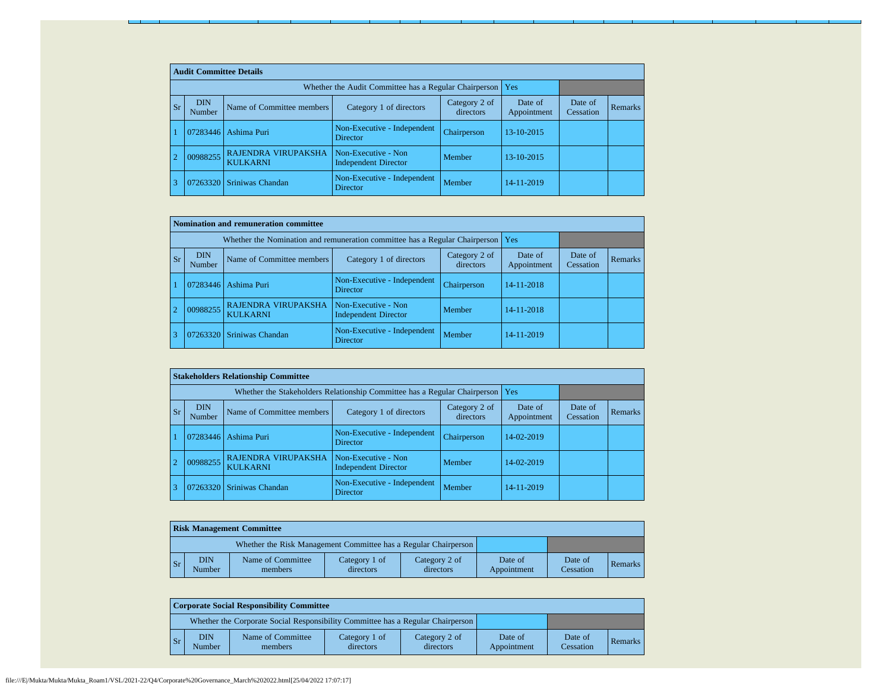|           | <b>Audit Committee Details</b> |                                                             |                                                    |                            |                        |                      |                |  |  |  |  |
|-----------|--------------------------------|-------------------------------------------------------------|----------------------------------------------------|----------------------------|------------------------|----------------------|----------------|--|--|--|--|
|           |                                | Whether the Audit Committee has a Regular Chairperson   Yes |                                                    |                            |                        |                      |                |  |  |  |  |
| <b>Sr</b> | <b>DIN</b><br>Number           | Name of Committee members                                   | Category 1 of directors                            | Category 2 of<br>directors | Date of<br>Appointment | Date of<br>Cessation | <b>Remarks</b> |  |  |  |  |
|           | 07283446                       | Ashima Puri                                                 | Non-Executive - Independent<br><b>Director</b>     | Chairperson                | 13-10-2015             |                      |                |  |  |  |  |
|           | 00988255                       | RAJENDRA VIRUPAKSHA<br><b>KULKARNI</b>                      | Non-Executive - Non<br><b>Independent Director</b> | Member                     | 13-10-2015             |                      |                |  |  |  |  |
|           | 07263320                       | Sriniwas Chandan                                            | Non-Executive - Independent<br><b>Director</b>     | Member                     | 14-11-2019             |                      |                |  |  |  |  |

|                |                                                                                                            | Nomination and remuneration committee         |                                                    |             |            |                      |         |
|----------------|------------------------------------------------------------------------------------------------------------|-----------------------------------------------|----------------------------------------------------|-------------|------------|----------------------|---------|
|                | Whether the Nomination and remuneration committee has a Regular Chairperson                                |                                               |                                                    |             |            |                      |         |
| <b>Sr</b>      | <b>DIN</b><br>Category 2 of<br>Name of Committee members<br>Category 1 of directors<br>directors<br>Number |                                               |                                                    |             |            | Date of<br>Cessation | Remarks |
|                | 07283446                                                                                                   | Ashima Puri                                   | Non-Executive - Independent<br><b>Director</b>     | Chairperson | 14-11-2018 |                      |         |
| $\overline{2}$ | 00988255                                                                                                   | <b>RAJENDRA VIRUPAKSHA</b><br><b>KULKARNI</b> | Non-Executive - Non<br><b>Independent Director</b> | Member      | 14-11-2018 |                      |         |
|                | 07263320                                                                                                   | Sriniwas Chandan                              | Non-Executive - Independent<br>Director            | Member      | 14-11-2019 |                      |         |

|                |           | <b>Stakeholders Relationship Committee</b> |                                        |                                                    |                            |                        |                      |         |  |  |  |
|----------------|-----------|--------------------------------------------|----------------------------------------|----------------------------------------------------|----------------------------|------------------------|----------------------|---------|--|--|--|
|                |           |                                            |                                        |                                                    |                            |                        |                      |         |  |  |  |
|                | <b>Sr</b> | <b>DIN</b><br>Number                       | Name of Committee members              | Category 1 of directors                            | Category 2 of<br>directors | Date of<br>Appointment | Date of<br>Cessation | Remarks |  |  |  |
|                |           | 07283446                                   | Ashima Puri                            | Non-Executive - Independent<br><b>Director</b>     | Chairperson                | 14-02-2019             |                      |         |  |  |  |
| $\overline{2}$ |           | 00988255                                   | RAJENDRA VIRUPAKSHA<br><b>KULKARNI</b> | Non-Executive - Non<br><b>Independent Director</b> | Member                     | 14-02-2019             |                      |         |  |  |  |
| 3              |           |                                            | 07263320 Sriniwas Chandan              | Non-Executive - Independent<br><b>Director</b>     | Member                     | 14-11-2019             |                      |         |  |  |  |

|                                                                 | <b>Risk Management Committee</b> |                              |                            |                            |                        |                      |         |  |  |  |  |  |
|-----------------------------------------------------------------|----------------------------------|------------------------------|----------------------------|----------------------------|------------------------|----------------------|---------|--|--|--|--|--|
| Whether the Risk Management Committee has a Regular Chairperson |                                  |                              |                            |                            |                        |                      |         |  |  |  |  |  |
| $\mathsf{S}$ r                                                  | <b>DIN</b><br>Number             | Name of Committee<br>members | Category 1 of<br>directors | Category 2 of<br>directors | Date of<br>Appointment | Date of<br>Cessation | Remarks |  |  |  |  |  |

|                | <b>Corporate Social Responsibility Committee</b>                                |                              |                            |                            |                        |                      |         |  |  |  |  |
|----------------|---------------------------------------------------------------------------------|------------------------------|----------------------------|----------------------------|------------------------|----------------------|---------|--|--|--|--|
|                | Whether the Corporate Social Responsibility Committee has a Regular Chairperson |                              |                            |                            |                        |                      |         |  |  |  |  |
| $\mathsf{S}_r$ | <b>DIN</b><br>Number                                                            | Name of Committee<br>members | Category 1 of<br>directors | Category 2 of<br>directors | Date of<br>Appointment | Date of<br>Cessation | Remarks |  |  |  |  |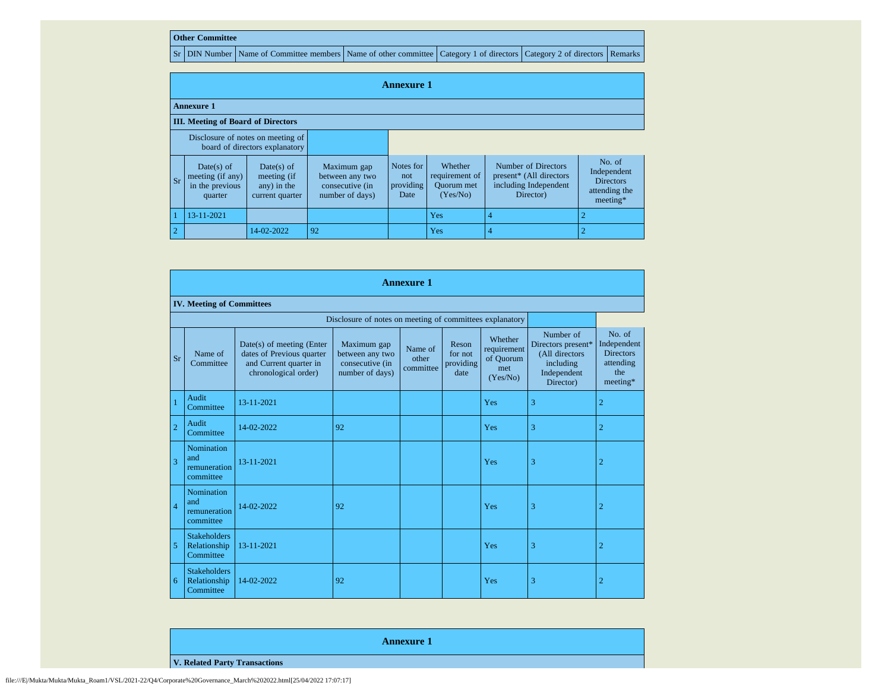## **Other Committee**

Sr DIN Number Name of Committee members Name of other committee Category 1 of directors Category 2 of directors Remarks

|                                           | <b>Annexure 1</b>                                                   |                                                             |                                                                      |                                       |                                                            |                                                                                      |                                                                        |  |  |  |  |
|-------------------------------------------|---------------------------------------------------------------------|-------------------------------------------------------------|----------------------------------------------------------------------|---------------------------------------|------------------------------------------------------------|--------------------------------------------------------------------------------------|------------------------------------------------------------------------|--|--|--|--|
| <b>Annexure 1</b>                         |                                                                     |                                                             |                                                                      |                                       |                                                            |                                                                                      |                                                                        |  |  |  |  |
| <b>III.</b> Meeting of Board of Directors |                                                                     |                                                             |                                                                      |                                       |                                                            |                                                                                      |                                                                        |  |  |  |  |
|                                           | Disclosure of notes on meeting of<br>board of directors explanatory |                                                             |                                                                      |                                       |                                                            |                                                                                      |                                                                        |  |  |  |  |
| l Sr                                      | Date(s) of<br>meeting (if any)<br>in the previous<br>quarter        | Date(s) of<br>meeting (if<br>any) in the<br>current quarter | Maximum gap<br>between any two<br>consecutive (in<br>number of days) | Notes for<br>not<br>providing<br>Date | Whether<br>requirement of<br><b>Ouorum</b> met<br>(Yes/No) | Number of Directors<br>present* (All directors<br>including Independent<br>Director) | No. of<br>Independent<br><b>Directors</b><br>attending the<br>meeting* |  |  |  |  |
|                                           | 13-11-2021                                                          |                                                             |                                                                      |                                       | Yes                                                        | 4                                                                                    |                                                                        |  |  |  |  |
| $\overline{2}$                            |                                                                     | 14-02-2022                                                  | 92                                                                   |                                       | Yes                                                        |                                                                                      |                                                                        |  |  |  |  |

|                | <b>Annexure 1</b>                                        |                                                                                                            |                                                                      |                               |                                       |                                                        |                                                                                            |                                                                           |  |  |  |  |  |
|----------------|----------------------------------------------------------|------------------------------------------------------------------------------------------------------------|----------------------------------------------------------------------|-------------------------------|---------------------------------------|--------------------------------------------------------|--------------------------------------------------------------------------------------------|---------------------------------------------------------------------------|--|--|--|--|--|
|                | <b>IV. Meeting of Committees</b>                         |                                                                                                            |                                                                      |                               |                                       |                                                        |                                                                                            |                                                                           |  |  |  |  |  |
|                | Disclosure of notes on meeting of committees explanatory |                                                                                                            |                                                                      |                               |                                       |                                                        |                                                                                            |                                                                           |  |  |  |  |  |
| <b>Sr</b>      | Name of<br>Committee                                     | $Date(s)$ of meeting (Enter<br>dates of Previous quarter<br>and Current quarter in<br>chronological order) | Maximum gap<br>between any two<br>consecutive (in<br>number of days) | Name of<br>other<br>committee | Reson<br>for not<br>providing<br>date | Whether<br>requirement<br>of Quorum<br>met<br>(Yes/No) | Number of<br>Directors present*<br>(All directors<br>including<br>Independent<br>Director) | No. of<br>Independent<br><b>Directors</b><br>attending<br>the<br>meeting* |  |  |  |  |  |
|                | Audit<br>Committee                                       | 13-11-2021                                                                                                 |                                                                      |                               |                                       | Yes                                                    | 3                                                                                          | $\overline{2}$                                                            |  |  |  |  |  |
| $\overline{2}$ | Audit<br>Committee                                       | 14-02-2022                                                                                                 | 92                                                                   |                               |                                       | Yes                                                    | 3                                                                                          | $\overline{2}$                                                            |  |  |  |  |  |
| 3              | Nomination<br>and<br>remuneration<br>committee           | 13-11-2021                                                                                                 |                                                                      |                               |                                       | Yes                                                    | 3                                                                                          | $\overline{2}$                                                            |  |  |  |  |  |
| $\overline{4}$ | Nomination<br>and<br>remuneration<br>committee           | 14-02-2022                                                                                                 | 92                                                                   |                               |                                       | Yes                                                    | 3                                                                                          | $\overline{2}$                                                            |  |  |  |  |  |
| 5              | <b>Stakeholders</b><br>Relationship<br>Committee         | 13-11-2021                                                                                                 |                                                                      |                               |                                       | Yes                                                    | 3                                                                                          | $\overline{2}$                                                            |  |  |  |  |  |
| 6              | <b>Stakeholders</b><br>Relationship<br>Committee         | 14-02-2022                                                                                                 | 92                                                                   |                               |                                       | Yes                                                    | 3                                                                                          | $\overline{2}$                                                            |  |  |  |  |  |

**Annexure 1**

**V. Related Party Transactions**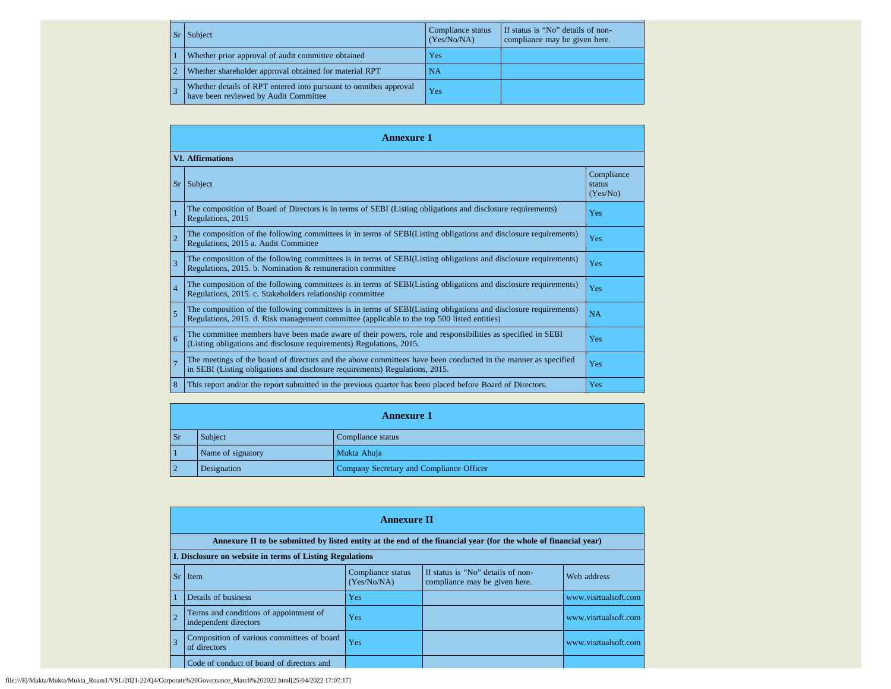| <b>Sr</b> | Subject                                                                                                   | Compliance status<br>(Yes/No/NA) | If status is "No" details of non-<br>compliance may be given here. |
|-----------|-----------------------------------------------------------------------------------------------------------|----------------------------------|--------------------------------------------------------------------|
|           | Whether prior approval of audit committee obtained                                                        | Yes                              |                                                                    |
|           | Whether shareholder approval obtained for material RPT                                                    | NA                               |                                                                    |
|           | Whether details of RPT entered into pursuant to omnibus approval<br>have been reviewed by Audit Committee | <b>Yes</b>                       |                                                                    |

|                         | <b>Annexure 1</b>                                                                                                                                                                                               |                                  |  |  |  |  |  |  |  |  |
|-------------------------|-----------------------------------------------------------------------------------------------------------------------------------------------------------------------------------------------------------------|----------------------------------|--|--|--|--|--|--|--|--|
| <b>VI. Affirmations</b> |                                                                                                                                                                                                                 |                                  |  |  |  |  |  |  |  |  |
| Sr                      | Subject                                                                                                                                                                                                         | Compliance<br>status<br>(Yes/No) |  |  |  |  |  |  |  |  |
|                         | The composition of Board of Directors is in terms of SEBI (Listing obligations and disclosure requirements)<br>Regulations, 2015                                                                                | Yes                              |  |  |  |  |  |  |  |  |
| $\overline{2}$          | The composition of the following committees is in terms of SEBI(Listing obligations and disclosure requirements)<br>Regulations, 2015 a. Audit Committee                                                        | Yes                              |  |  |  |  |  |  |  |  |
| 3                       | The composition of the following committees is in terms of SEBI(Listing obligations and disclosure requirements)<br>Regulations, 2015. b. Nomination & remuneration committee                                   | Yes                              |  |  |  |  |  |  |  |  |
| $\overline{4}$          | The composition of the following committees is in terms of SEBI(Listing obligations and disclosure requirements)<br>Regulations, 2015. c. Stakeholders relationship committee                                   | Yes                              |  |  |  |  |  |  |  |  |
| 5                       | The composition of the following committees is in terms of SEBI(Listing obligations and disclosure requirements)<br>Regulations, 2015. d. Risk management committee (applicable to the top 500 listed entities) | <b>NA</b>                        |  |  |  |  |  |  |  |  |
| 6                       | The committee members have been made aware of their powers, role and responsibilities as specified in SEBI<br>(Listing obligations and disclosure requirements) Regulations, 2015.                              | Yes                              |  |  |  |  |  |  |  |  |
| $\overline{7}$          | The meetings of the board of directors and the above committees have been conducted in the manner as specified<br>in SEBI (Listing obligations and disclosure requirements) Regulations, 2015.                  | Yes                              |  |  |  |  |  |  |  |  |
| 8                       | This report and/or the report submitted in the previous quarter has been placed before Board of Directors.                                                                                                      | Yes                              |  |  |  |  |  |  |  |  |

|                | <b>Annexure 1</b>            |                                          |  |  |  |
|----------------|------------------------------|------------------------------------------|--|--|--|
| <b>Sr</b>      | Subject<br>Compliance status |                                          |  |  |  |
|                | Name of signatory            | Mukta Ahuja                              |  |  |  |
| $\overline{2}$ | Designation                  | Company Secretary and Compliance Officer |  |  |  |

| <b>Annexure II</b>                                                                                              |                                                                 |                                  |                                                                    |                      |  |  |
|-----------------------------------------------------------------------------------------------------------------|-----------------------------------------------------------------|----------------------------------|--------------------------------------------------------------------|----------------------|--|--|
| Annexure II to be submitted by listed entity at the end of the financial year (for the whole of financial year) |                                                                 |                                  |                                                                    |                      |  |  |
| I. Disclosure on website in terms of Listing Regulations                                                        |                                                                 |                                  |                                                                    |                      |  |  |
| Sr                                                                                                              | Item                                                            | Compliance status<br>(Yes/No/NA) | If status is "No" details of non-<br>compliance may be given here. | Web address          |  |  |
|                                                                                                                 | Details of business                                             | Yes                              |                                                                    | www.visrtualsoft.com |  |  |
|                                                                                                                 | Terms and conditions of appointment of<br>independent directors | Yes                              |                                                                    | www.visrtualsoft.com |  |  |
|                                                                                                                 | Composition of various committees of board<br>of directors      | Yes                              |                                                                    | www.visrtualsoft.com |  |  |
|                                                                                                                 | Code of conduct of board of directors and                       |                                  |                                                                    |                      |  |  |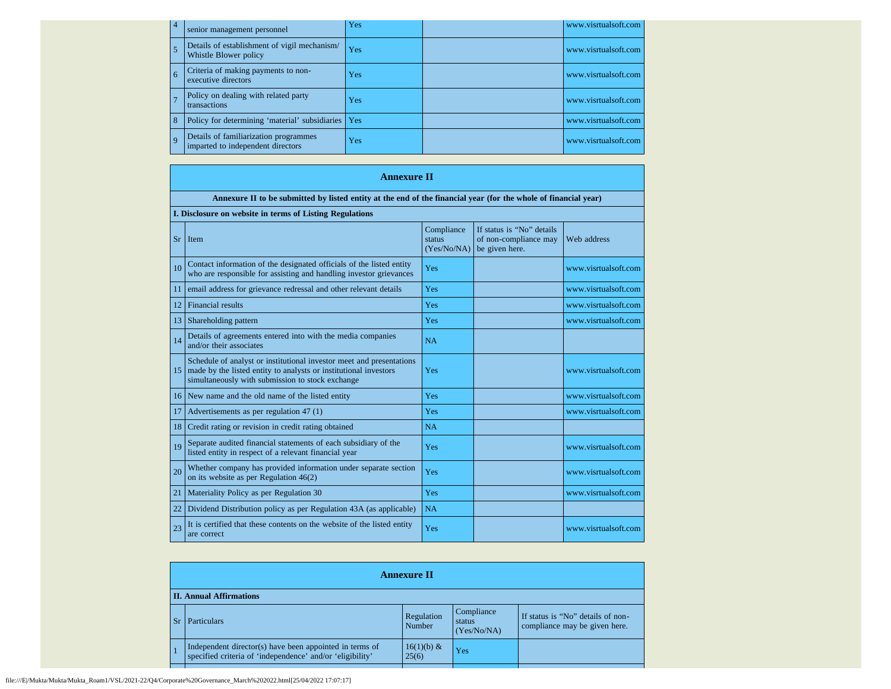| $\overline{4}$ | senior management personnel                                                | Yes        | www.visrtualsoft.com |
|----------------|----------------------------------------------------------------------------|------------|----------------------|
|                | Details of establishment of vigil mechanism/<br>Whistle Blower policy      | Yes        | www.visrtualsoft.com |
| 6              | Criteria of making payments to non-<br>executive directors                 | <b>Yes</b> | www.visrtualsoft.com |
|                | Policy on dealing with related party<br>transactions                       | Yes        | www.visrtualsoft.com |
|                | Policy for determining 'material' subsidiaries                             | Yes        | www.visrtualsoft.com |
| $\mathbf Q$    | Details of familiarization programmes<br>imparted to independent directors | Yes        | www.visrtualsoft.com |

## **Annexure II**

|    | Annexure II to be submitted by listed entity at the end of the financial year (for the whole of financial year)                                                                              |                                     |                                                                      |                      |  |  |
|----|----------------------------------------------------------------------------------------------------------------------------------------------------------------------------------------------|-------------------------------------|----------------------------------------------------------------------|----------------------|--|--|
|    | I. Disclosure on website in terms of Listing Regulations                                                                                                                                     |                                     |                                                                      |                      |  |  |
| Sr | Item                                                                                                                                                                                         | Compliance<br>status<br>(Yes/No/NA) | If status is "No" details<br>of non-compliance may<br>be given here. | Web address          |  |  |
| 10 | Contact information of the designated officials of the listed entity<br>who are responsible for assisting and handling investor grievances                                                   | Yes                                 |                                                                      | www.visrtualsoft.com |  |  |
| 11 | email address for grievance redressal and other relevant details                                                                                                                             | Yes                                 |                                                                      | www.visrtualsoft.com |  |  |
| 12 | <b>Financial results</b>                                                                                                                                                                     | Yes                                 |                                                                      | www.visrtualsoft.com |  |  |
| 13 | Shareholding pattern                                                                                                                                                                         | <b>Yes</b>                          |                                                                      | www.visrtualsoft.com |  |  |
| 14 | Details of agreements entered into with the media companies<br>and/or their associates                                                                                                       | <b>NA</b>                           |                                                                      |                      |  |  |
| 15 | Schedule of analyst or institutional investor meet and presentations<br>made by the listed entity to analysts or institutional investors<br>simultaneously with submission to stock exchange | Yes                                 |                                                                      | www.visrtualsoft.com |  |  |
| 16 | New name and the old name of the listed entity                                                                                                                                               | Yes                                 |                                                                      | www.visrtualsoft.com |  |  |
| 17 | Advertisements as per regulation 47 (1)                                                                                                                                                      | Yes                                 |                                                                      | www.visrtualsoft.com |  |  |
| 18 | Credit rating or revision in credit rating obtained                                                                                                                                          | <b>NA</b>                           |                                                                      |                      |  |  |
| 19 | Separate audited financial statements of each subsidiary of the<br>listed entity in respect of a relevant financial year                                                                     | Yes                                 |                                                                      | www.visrtualsoft.com |  |  |
| 20 | Whether company has provided information under separate section<br>on its website as per Regulation $46(2)$                                                                                  | Yes                                 |                                                                      | www.visrtualsoft.com |  |  |
| 21 | Materiality Policy as per Regulation 30                                                                                                                                                      | Yes                                 |                                                                      | www.visrtualsoft.com |  |  |
| 22 | Dividend Distribution policy as per Regulation 43A (as applicable)                                                                                                                           | NA                                  |                                                                      |                      |  |  |
| 23 | It is certified that these contents on the website of the listed entity<br>are correct                                                                                                       | Yes                                 |                                                                      | www.visrtualsoft.com |  |  |

| <b>Annexure II</b>             |                                                                                                                      |                        |                                     |                                                                    |  |
|--------------------------------|----------------------------------------------------------------------------------------------------------------------|------------------------|-------------------------------------|--------------------------------------------------------------------|--|
| <b>II. Annual Affirmations</b> |                                                                                                                      |                        |                                     |                                                                    |  |
|                                | <b>Particulars</b>                                                                                                   | Regulation<br>Number   | Compliance<br>status<br>(Yes/No/NA) | If status is "No" details of non-<br>compliance may be given here. |  |
|                                | Independent director(s) have been appointed in terms of<br>specified criteria of 'independence' and/or 'eligibility' | $16(1)(b) \&$<br>25(6) | Yes                                 |                                                                    |  |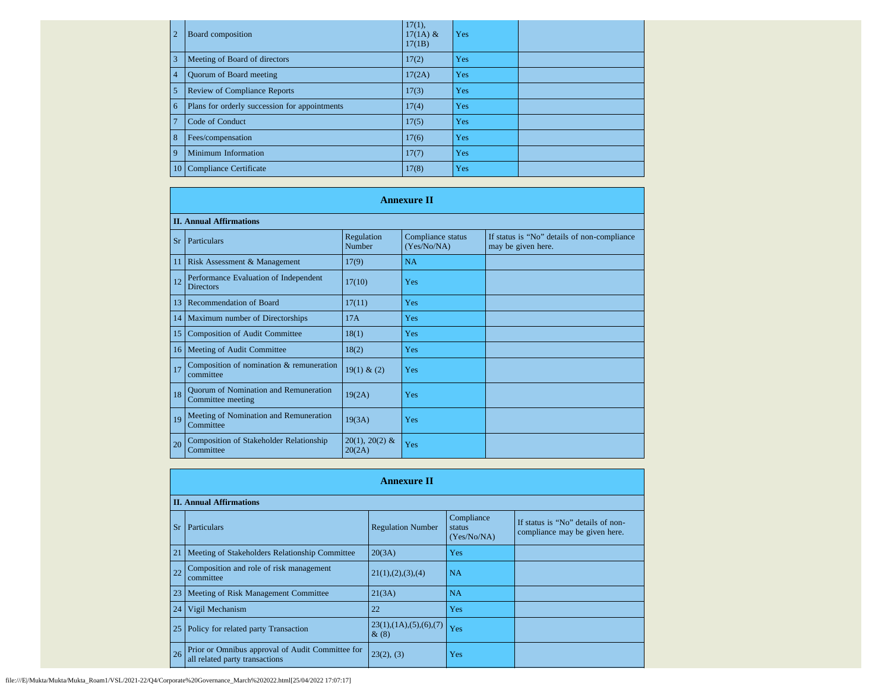| $\overline{2}$ | Board composition                             | $17(1)$ ,<br>$17(1A)$ &<br>17(1B) | Yes |  |
|----------------|-----------------------------------------------|-----------------------------------|-----|--|
| 3              | Meeting of Board of directors                 | 17(2)                             | Yes |  |
| $\overline{4}$ | <b>Ouorum of Board meeting</b>                | 17(2A)                            | Yes |  |
| 5              | <b>Review of Compliance Reports</b>           | 17(3)                             | Yes |  |
| 6              | Plans for orderly succession for appointments | 17(4)                             | Yes |  |
| $\mathcal{I}$  | Code of Conduct                               | 17(5)                             | Yes |  |
| 8              | Fees/compensation                             | 17(6)                             | Yes |  |
| $\mathbf{Q}$   | Minimum Information                           | 17(7)                             | Yes |  |
|                | 10 Compliance Certificate                     | 17(8)                             | Yes |  |

|               | <b>Annexure II</b>                                                |                            |                                  |                                                                   |  |  |  |
|---------------|-------------------------------------------------------------------|----------------------------|----------------------------------|-------------------------------------------------------------------|--|--|--|
|               | <b>II. Annual Affirmations</b>                                    |                            |                                  |                                                                   |  |  |  |
| <b>Sr</b>     | Particulars                                                       | Regulation<br>Number       | Compliance status<br>(Yes/No/NA) | If status is "No" details of non-compliance<br>may be given here. |  |  |  |
| 11            | Risk Assessment & Management                                      | 17(9)                      | <b>NA</b>                        |                                                                   |  |  |  |
| <sup>12</sup> | Performance Evaluation of Independent<br><b>Directors</b>         | 17(10)                     | Yes                              |                                                                   |  |  |  |
| 13            | <b>Recommendation of Board</b>                                    | 17(11)                     | Yes                              |                                                                   |  |  |  |
| 14            | Maximum number of Directorships                                   | 17A                        | Yes                              |                                                                   |  |  |  |
| 15            | <b>Composition of Audit Committee</b>                             | 18(1)                      | Yes                              |                                                                   |  |  |  |
| <sup>16</sup> | Meeting of Audit Committee                                        | 18(2)                      | Yes                              |                                                                   |  |  |  |
| <sup>17</sup> | Composition of nomination & remuneration<br>committee             | 19(1) & (2)                | Yes                              |                                                                   |  |  |  |
| 18            | <b>Quorum of Nomination and Remuneration</b><br>Committee meeting | 19(2A)                     | Yes                              |                                                                   |  |  |  |
| 19            | Meeting of Nomination and Remuneration<br>Committee               | 19(3A)                     | Yes                              |                                                                   |  |  |  |
| 20            | <b>Composition of Stakeholder Relationship</b><br>Committee       | $20(1), 20(2)$ &<br>20(2A) | Yes                              |                                                                   |  |  |  |

|    | <b>Annexure II</b>                                                                 |                                       |                                     |                                                                    |  |  |  |
|----|------------------------------------------------------------------------------------|---------------------------------------|-------------------------------------|--------------------------------------------------------------------|--|--|--|
|    | <b>II. Annual Affirmations</b>                                                     |                                       |                                     |                                                                    |  |  |  |
| Sr | Particulars                                                                        | <b>Regulation Number</b>              | Compliance<br>status<br>(Yes/No/NA) | If status is "No" details of non-<br>compliance may be given here. |  |  |  |
| 21 | Meeting of Stakeholders Relationship Committee                                     | 20(3A)                                | Yes                                 |                                                                    |  |  |  |
| 22 | Composition and role of risk management<br>committee                               | 21(1), (2), (3), (4)                  | <b>NA</b>                           |                                                                    |  |  |  |
| 23 | Meeting of Risk Management Committee                                               | 21(3A)                                | <b>NA</b>                           |                                                                    |  |  |  |
| 24 | Vigil Mechanism                                                                    | 22                                    | Yes                                 |                                                                    |  |  |  |
| 25 | Policy for related party Transaction                                               | 23(1), (1A), (5), (6), (7)<br>$\&(8)$ | Yes                                 |                                                                    |  |  |  |
| 26 | Prior or Omnibus approval of Audit Committee for<br>all related party transactions | 23(2), (3)                            | Yes                                 |                                                                    |  |  |  |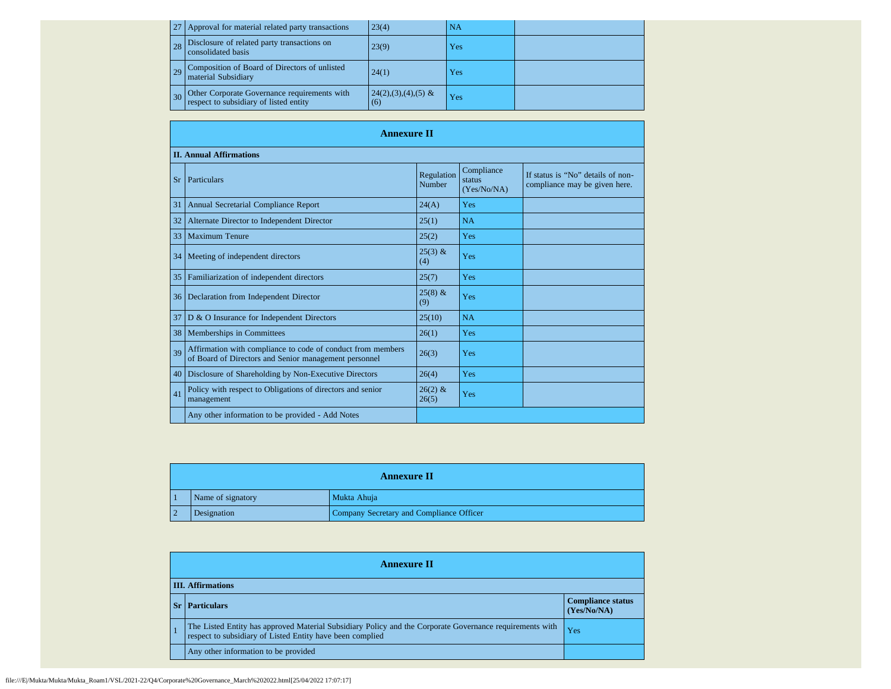|    | Approval for material related party transactions                                       | 23(4)                        | NA  |  |
|----|----------------------------------------------------------------------------------------|------------------------------|-----|--|
| 28 | Disclosure of related party transactions on<br>consolidated basis                      | 23(9)                        | Yes |  |
| 29 | Composition of Board of Directors of unlisted<br>material Subsidiary                   | 24(1)                        | Yes |  |
|    | Other Corporate Governance requirements with<br>respect to subsidiary of listed entity | $24(2),(3),(4),(5)$ &<br>(6) | Yes |  |

|           | <b>Annexure II</b>                                                                                                   |                      |                                     |                                                                    |  |  |
|-----------|----------------------------------------------------------------------------------------------------------------------|----------------------|-------------------------------------|--------------------------------------------------------------------|--|--|
|           | <b>II. Annual Affirmations</b>                                                                                       |                      |                                     |                                                                    |  |  |
| <b>Sr</b> | Particulars                                                                                                          | Regulation<br>Number | Compliance<br>status<br>(Yes/No/NA) | If status is "No" details of non-<br>compliance may be given here. |  |  |
| 31        | Annual Secretarial Compliance Report                                                                                 | 24(A)                | Yes                                 |                                                                    |  |  |
| 32        | Alternate Director to Independent Director                                                                           | 25(1)                | <b>NA</b>                           |                                                                    |  |  |
| 33        | <b>Maximum Tenure</b>                                                                                                | 25(2)                | Yes                                 |                                                                    |  |  |
| 34        | Meeting of independent directors                                                                                     | $25(3)$ &<br>(4)     | Yes                                 |                                                                    |  |  |
| 35        | Familiarization of independent directors                                                                             | 25(7)                | Yes                                 |                                                                    |  |  |
| 36        | Declaration from Independent Director                                                                                | $25(8)$ &<br>(9)     | Yes                                 |                                                                    |  |  |
| 37        | D & O Insurance for Independent Directors                                                                            | 25(10)               | <b>NA</b>                           |                                                                    |  |  |
| 38        | Memberships in Committees                                                                                            | 26(1)                | Yes                                 |                                                                    |  |  |
| 39        | Affirmation with compliance to code of conduct from members<br>of Board of Directors and Senior management personnel | 26(3)                | Yes                                 |                                                                    |  |  |
| 40        | Disclosure of Shareholding by Non-Executive Directors                                                                | 26(4)                | Yes                                 |                                                                    |  |  |
| 41        | Policy with respect to Obligations of directors and senior<br>management                                             | $26(2)$ &<br>26(5)   | Yes                                 |                                                                    |  |  |
|           | Any other information to be provided - Add Notes                                                                     |                      |                                     |                                                                    |  |  |

| <b>Annexure II</b> |                                          |  |  |  |
|--------------------|------------------------------------------|--|--|--|
| Name of signatory  | Mukta Ahuja                              |  |  |  |
| Designation        | Company Secretary and Compliance Officer |  |  |  |

| <b>Annexure II</b>                                                                                                                                                    |                                         |  |  |  |
|-----------------------------------------------------------------------------------------------------------------------------------------------------------------------|-----------------------------------------|--|--|--|
| <b>III.</b> Affirmations                                                                                                                                              |                                         |  |  |  |
| <b>Sr</b>   Particulars                                                                                                                                               | <b>Compliance status</b><br>(Yes/No/NA) |  |  |  |
| The Listed Entity has approved Material Subsidiary Policy and the Corporate Governance requirements with<br>respect to subsidiary of Listed Entity have been complied | Yes                                     |  |  |  |
| Any other information to be provided                                                                                                                                  |                                         |  |  |  |